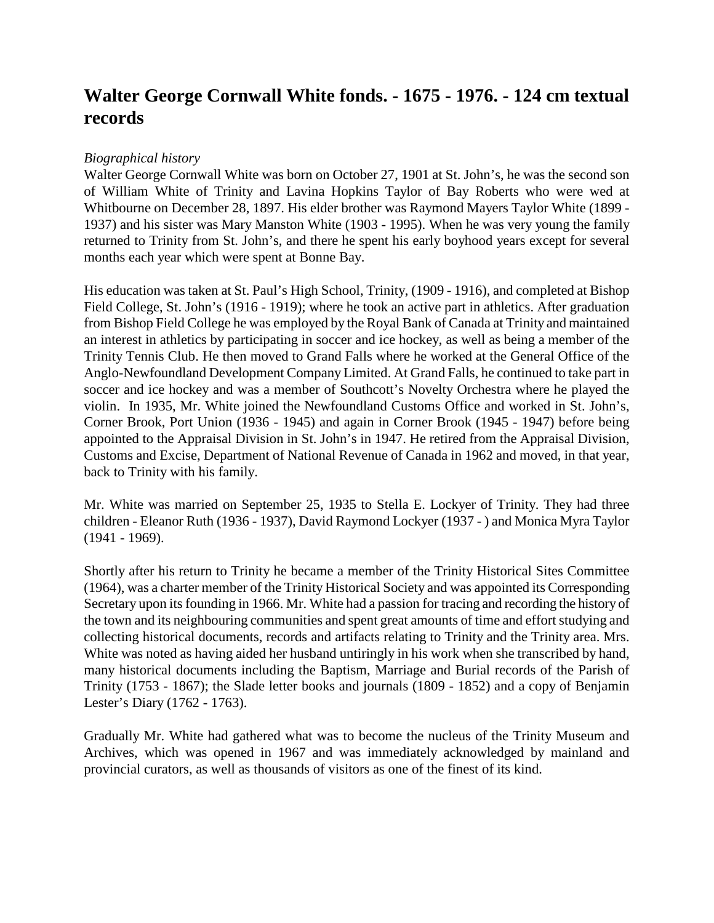# **Walter George Cornwall White fonds. - 1675 - 1976. - 124 cm textual records**

### *Biographical history*

Walter George Cornwall White was born on October 27, 1901 at St. John's, he was the second son of William White of Trinity and Lavina Hopkins Taylor of Bay Roberts who were wed at Whitbourne on December 28, 1897. His elder brother was Raymond Mayers Taylor White (1899 - 1937) and his sister was Mary Manston White (1903 - 1995). When he was very young the family returned to Trinity from St. John's, and there he spent his early boyhood years except for several months each year which were spent at Bonne Bay.

His education was taken at St. Paul's High School, Trinity, (1909 - 1916), and completed at Bishop Field College, St. John's (1916 - 1919); where he took an active part in athletics. After graduation from Bishop Field College he was employed by the Royal Bank of Canada at Trinity and maintained an interest in athletics by participating in soccer and ice hockey, as well as being a member of the Trinity Tennis Club. He then moved to Grand Falls where he worked at the General Office of the Anglo-Newfoundland Development Company Limited. At Grand Falls, he continued to take part in soccer and ice hockey and was a member of Southcott's Novelty Orchestra where he played the violin. In 1935, Mr. White joined the Newfoundland Customs Office and worked in St. John's, Corner Brook, Port Union (1936 - 1945) and again in Corner Brook (1945 - 1947) before being appointed to the Appraisal Division in St. John's in 1947. He retired from the Appraisal Division, Customs and Excise, Department of National Revenue of Canada in 1962 and moved, in that year, back to Trinity with his family.

Mr. White was married on September 25, 1935 to Stella E. Lockyer of Trinity. They had three children - Eleanor Ruth (1936 - 1937), David Raymond Lockyer (1937 - ) and Monica Myra Taylor (1941 - 1969).

Shortly after his return to Trinity he became a member of the Trinity Historical Sites Committee (1964), was a charter member of the Trinity Historical Society and was appointed its Corresponding Secretary upon its founding in 1966. Mr. White had a passion for tracing and recording the history of the town and its neighbouring communities and spent great amounts of time and effort studying and collecting historical documents, records and artifacts relating to Trinity and the Trinity area. Mrs. White was noted as having aided her husband untiringly in his work when she transcribed by hand, many historical documents including the Baptism, Marriage and Burial records of the Parish of Trinity (1753 - 1867); the Slade letter books and journals (1809 - 1852) and a copy of Benjamin Lester's Diary (1762 - 1763).

Gradually Mr. White had gathered what was to become the nucleus of the Trinity Museum and Archives, which was opened in 1967 and was immediately acknowledged by mainland and provincial curators, as well as thousands of visitors as one of the finest of its kind.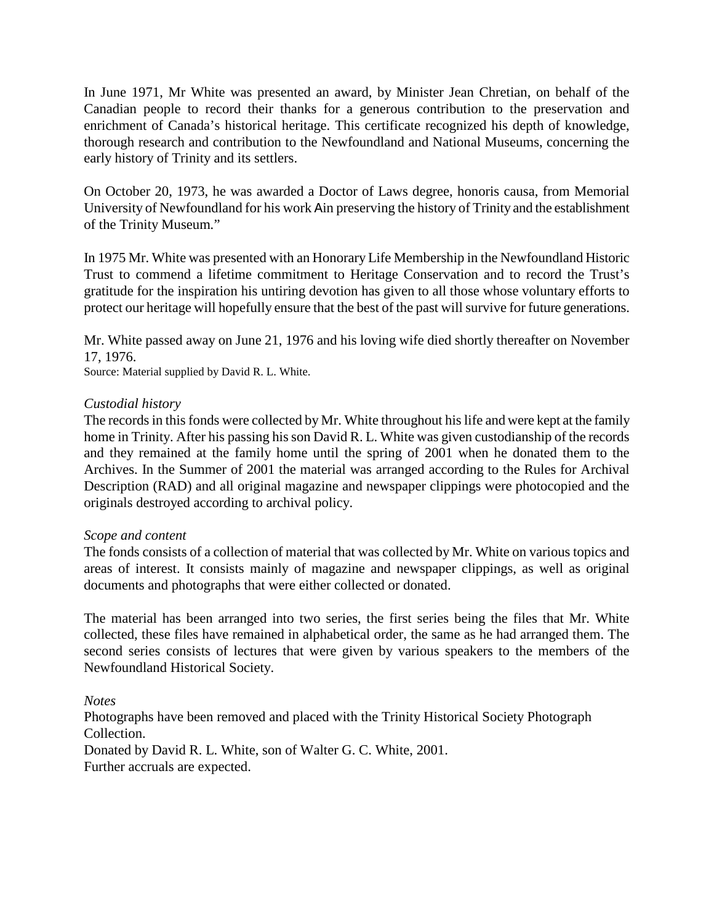In June 1971, Mr White was presented an award, by Minister Jean Chretian, on behalf of the Canadian people to record their thanks for a generous contribution to the preservation and enrichment of Canada's historical heritage. This certificate recognized his depth of knowledge, thorough research and contribution to the Newfoundland and National Museums, concerning the early history of Trinity and its settlers.

On October 20, 1973, he was awarded a Doctor of Laws degree, honoris causa, from Memorial University of Newfoundland for his work Ain preserving the history of Trinity and the establishment of the Trinity Museum*.*"

In 1975 Mr. White was presented with an Honorary Life Membership in the Newfoundland Historic Trust to commend a lifetime commitment to Heritage Conservation and to record the Trust's gratitude for the inspiration his untiring devotion has given to all those whose voluntary efforts to protect our heritage will hopefully ensure that the best of the past will survive for future generations.

Mr. White passed away on June 21, 1976 and his loving wife died shortly thereafter on November 17, 1976.

Source: Material supplied by David R. L. White.

### *Custodial history*

The records in this fonds were collected by Mr. White throughout his life and were kept at the family home in Trinity. After his passing his son David R. L. White was given custodianship of the records and they remained at the family home until the spring of 2001 when he donated them to the Archives. In the Summer of 2001 the material was arranged according to the Rules for Archival Description (RAD) and all original magazine and newspaper clippings were photocopied and the originals destroyed according to archival policy.

### *Scope and content*

The fonds consists of a collection of material that was collected by Mr. White on various topics and areas of interest. It consists mainly of magazine and newspaper clippings, as well as original documents and photographs that were either collected or donated.

The material has been arranged into two series, the first series being the files that Mr. White collected, these files have remained in alphabetical order, the same as he had arranged them. The second series consists of lectures that were given by various speakers to the members of the Newfoundland Historical Society.

*Notes*

Photographs have been removed and placed with the Trinity Historical Society Photograph Collection. Donated by David R. L. White, son of Walter G. C. White, 2001. Further accruals are expected.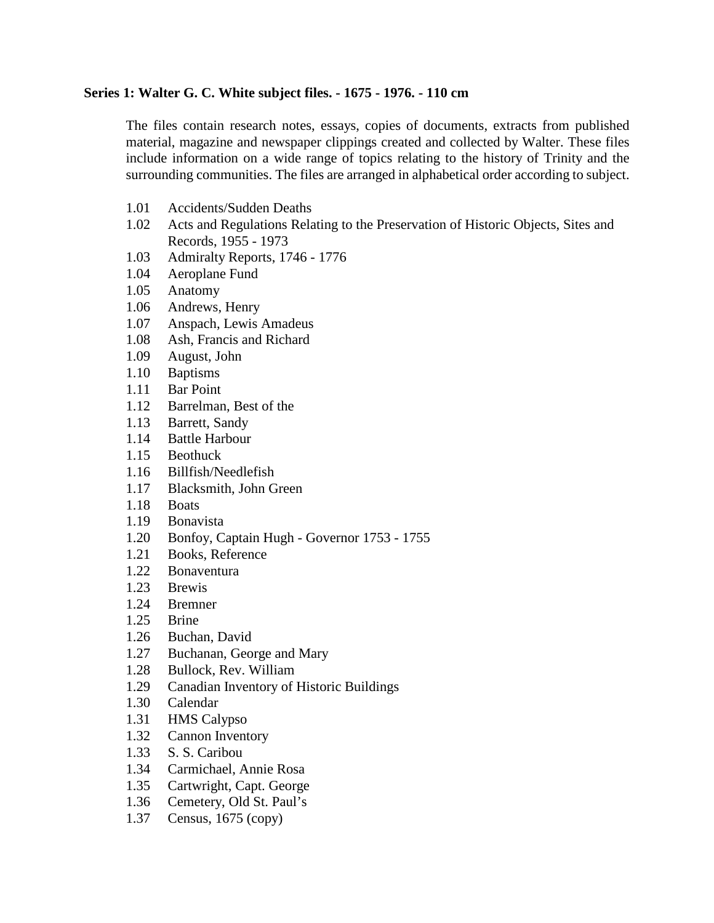### **Series 1: Walter G. C. White subject files. - 1675 - 1976. - 110 cm**

The files contain research notes, essays, copies of documents, extracts from published material, magazine and newspaper clippings created and collected by Walter. These files include information on a wide range of topics relating to the history of Trinity and the surrounding communities. The files are arranged in alphabetical order according to subject.

- 1.01 Accidents/Sudden Deaths
- 1.02 Acts and Regulations Relating to the Preservation of Historic Objects, Sites and Records, 1955 - 1973
- 1.03 Admiralty Reports, 1746 1776
- 1.04 Aeroplane Fund
- 1.05 Anatomy
- 1.06 Andrews, Henry
- 1.07 Anspach, Lewis Amadeus<br>1.08 Ash. Francis and Richard
- Ash, Francis and Richard
- 1.09 August, John
- 1.10 Baptisms
- 1.11 Bar Point
- 1.12 Barrelman, Best of the
- 1.13 Barrett, Sandy
- 1.14 Battle Harbour
- 1.15 Beothuck
- 1.16 Billfish/Needlefish
- 1.17 Blacksmith, John Green
- 1.18 Boats
- 1.19 Bonavista
- 1.20 Bonfoy, Captain Hugh Governor 1753 1755
- 1.21 Books, Reference
- 1.22 Bonaventura
- 1.23 Brewis
- 1.24 Bremner
- 1.25 Brine
- 1.26 Buchan, David
- 1.27 Buchanan, George and Mary
- 1.28 Bullock, Rev. William
- 1.29 Canadian Inventory of Historic Buildings
- 1.30 Calendar<br>1.31 HMS Cal
- **HMS Calypso**
- 1.32 Cannon Inventory
- 1.33 S. S. Caribou
- 1.34 Carmichael, Annie Rosa
- 1.35 Cartwright, Capt. George
- 1.36 Cemetery, Old St. Paul's
- 1.37 Census, 1675 (copy)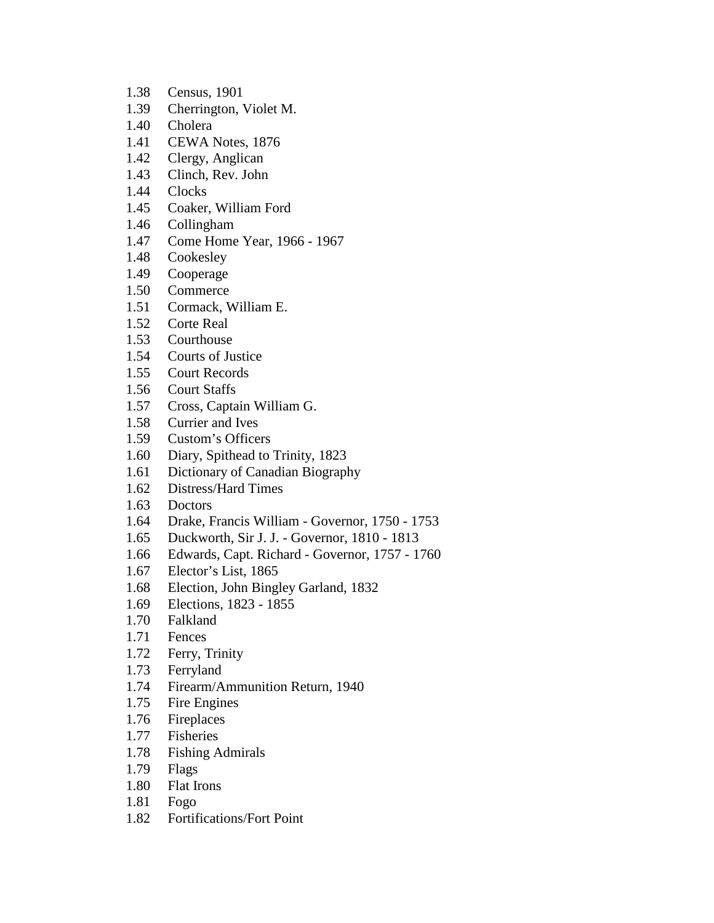- 1.38 Census, 1901
- 1.39 Cherrington, Violet M.
- 1.40 Cholera
- 1.41 CEWA Notes, 1876
- 1.42 Clergy, Anglican
- 1.43 Clinch, Rev. John
- 1.44 Clocks
- 1.45 Coaker, William Ford
- 1.46 Collingham
- 1.47 Come Home Year, 1966 1967
- 1.48 Cookesley
- 1.49 Cooperage
- 1.50 Commerce
- 1.51 Cormack, William E.
- 1.52 Corte Real
- 1.53 Courthouse
- 1.54 Courts of Justice
- 1.55 Court Records
- 1.56 Court Staffs
- 1.57 Cross, Captain William G.
- 1.58 Currier and Ives
- 1.59 Custom's Officers
- 1.60 Diary, Spithead to Trinity, 1823
- 1.61 Dictionary of Canadian Biography
- 1.62 Distress/Hard Times
- 1.63 Doctors
- 1.64 Drake, Francis William Governor, 1750 1753
- 1.65 Duckworth, Sir J. J. Governor, 1810 1813
- 1.66 Edwards, Capt. Richard Governor, 1757 1760
- 1.67 Elector's List, 1865
- 1.68 Election, John Bingley Garland, 1832
- 1.69 Elections, 1823 1855
- 1.70 Falkland
- 1.71 Fences
- 1.72 Ferry, Trinity
- 1.73 Ferryland
- 1.74 Firearm/Ammunition Return, 1940
- 1.75 Fire Engines
- 1.76 Fireplaces
- 1.77 Fisheries
- 1.78 Fishing Admirals
- 1.79 Flags
- 1.80 Flat Irons
- 1.81 Fogo
- 1.82 Fortifications/Fort Point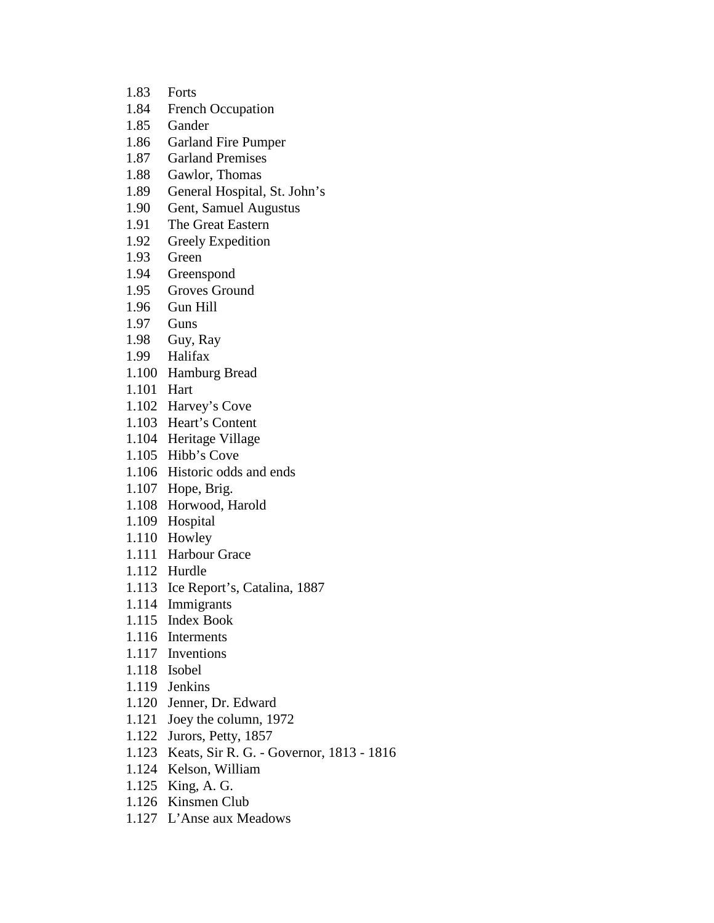- 1.83 Forts 1.84 French Occupation 1.85 Gander 1.86 Garland Fire Pumper 1.87 Garland Premises 1.88 Gawlor, Thomas 1.89 General Hospital, St. John's 1.90 Gent, Samuel Augustus 1.91 The Great Eastern 1.92 Greely Expedition 1.93 Green 1.94 Greenspond 1.95 Groves Ground 1.96 Gun Hill 1.97 Guns 1.98 Guy, Ray 1.99 Halifax 1.100 Hamburg Bread 1.101 Hart 1.102 Harvey's Cove 1.103 Heart's Content 1.104 Heritage Village 1.105 Hibb's Cove 1.106 Historic odds and ends 1.107 Hope, Brig. 1.108 Horwood, Harold 1.109 Hospital 1.110 Howley 1.111 Harbour Grace 1.112 Hurdle 1.113 Ice Report's, Catalina, 1887 1.114 Immigrants 1.115 Index Book 1.116 Interments 1.117 Inventions 1.118 Isobel 1.119 Jenkins 1.120 Jenner, Dr. Edward 1.121 Joey the column, 1972 1.122 Jurors, Petty, 1857 1.123 Keats, Sir R. G. - Governor, 1813 - 1816
- 1.124 Kelson, William
- 1.125 King, A. G.
- 1.126 Kinsmen Club
- 1.127 L'Anse aux Meadows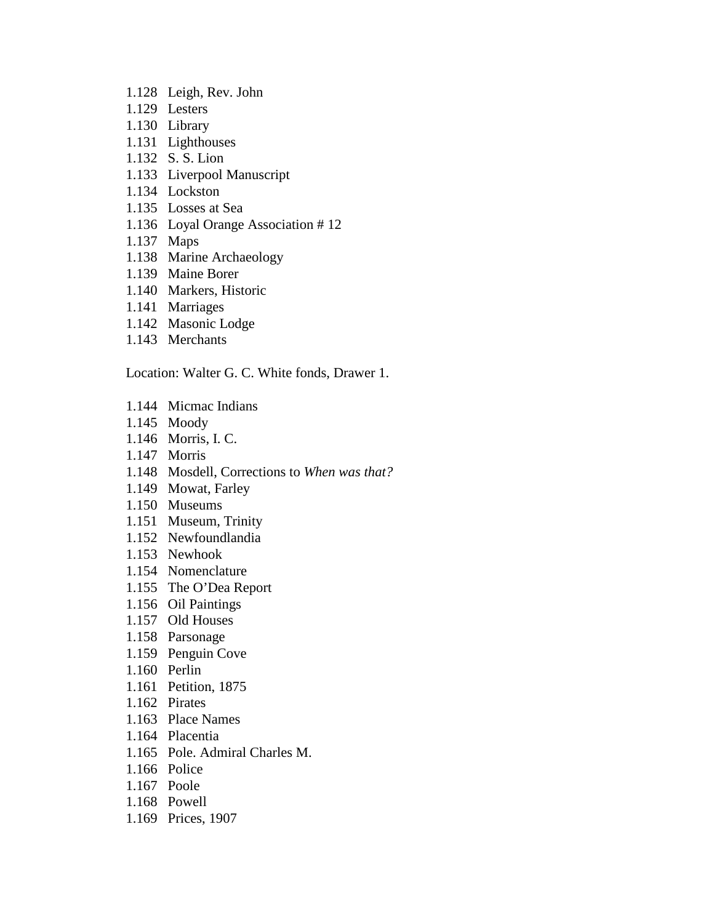- 1.128 Leigh, Rev. John
- 1.129 Lesters
- 1.130 Library
- 1.131 Lighthouses
- 1.132 S. S. Lion
- 1.133 Liverpool Manuscript
- 1.134 Lockston
- 1.135 Losses at Sea
- 1.136 Loyal Orange Association # 12
- 1.137 Maps
- 1.138 Marine Archaeology
- 1.139 Maine Borer
- 1.140 Markers, Historic
- 1.141 Marriages
- 1.142 Masonic Lodge
- 1.143 Merchants

Location: Walter G. C. White fonds, Drawer 1.

- 1.144 Micmac Indians
- 1.145 Moody
- 1.146 Morris, I. C.
- 1.147 Morris
- 1.148 Mosdell, Corrections to *When was that?*
- 1.149 Mowat, Farley
- 1.150 Museums
- 1.151 Museum, Trinity
- 1.152 Newfoundlandia
- 1.153 Newhook
- 1.154 Nomenclature
- 1.155 The O'Dea Report
- 1.156 Oil Paintings
- 1.157 Old Houses
- 1.158 Parsonage
- 1.159 Penguin Cove
- 1.160 Perlin
- 1.161 Petition, 1875
- 1.162 Pirates
- 1.163 Place Names
- 1.164 Placentia
- 1.165 Pole. Admiral Charles M.
- 1.166 Police
- 1.167 Poole
- 1.168 Powell
- 1.169 Prices, 1907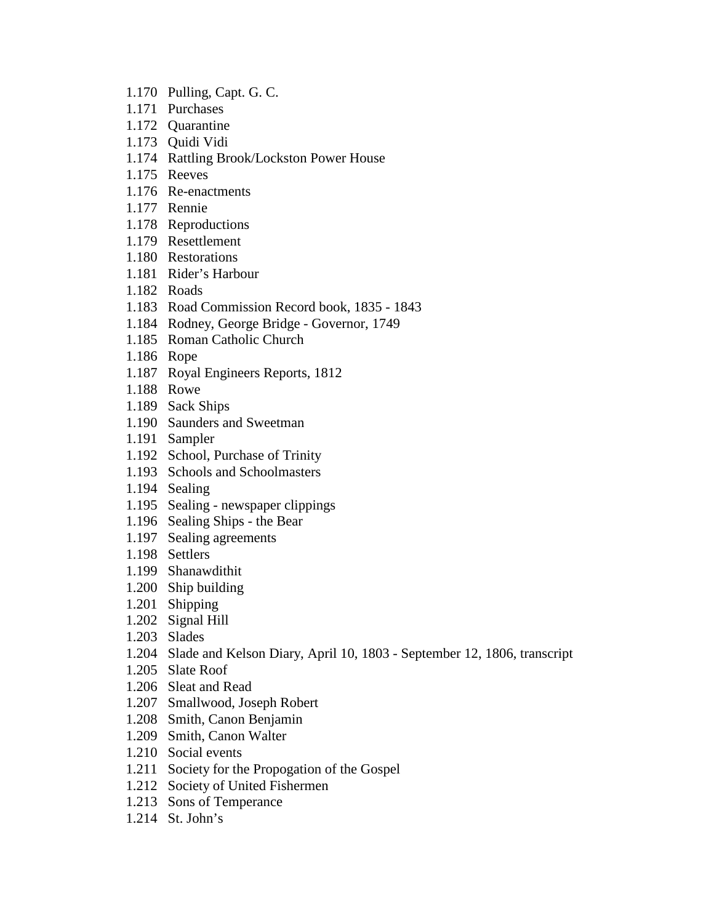- 1.170 Pulling, Capt. G. C.
- 1.171 Purchases
- 1.172 Quarantine
- 1.173 Quidi Vidi
- 1.174 Rattling Brook/Lockston Power House
- 1.175 Reeves
- 1.176 Re-enactments
- 1.177 Rennie
- 1.178 Reproductions
- 1.179 Resettlement
- 1.180 Restorations
- 1.181 Rider's Harbour
- 1.182 Roads
- 1.183 Road Commission Record book, 1835 1843
- 1.184 Rodney, George Bridge Governor, 1749
- 1.185 Roman Catholic Church
- 1.186 Rope
- 1.187 Royal Engineers Reports, 1812
- 1.188 Rowe
- 1.189 Sack Ships
- 1.190 Saunders and Sweetman
- 1.191 Sampler
- 1.192 School, Purchase of Trinity
- 1.193 Schools and Schoolmasters
- 1.194 Sealing
- 1.195 Sealing newspaper clippings
- 1.196 Sealing Ships the Bear
- 1.197 Sealing agreements
- 1.198 Settlers
- 1.199 Shanawdithit
- 1.200 Ship building
- 1.201 Shipping
- 1.202 Signal Hill
- 1.203 Slades
- 1.204 Slade and Kelson Diary, April 10, 1803 September 12, 1806, transcript
- 1.205 Slate Roof
- 1.206 Sleat and Read
- 1.207 Smallwood, Joseph Robert
- 1.208 Smith, Canon Benjamin
- 1.209 Smith, Canon Walter
- 1.210 Social events
- 1.211 Society for the Propogation of the Gospel
- 1.212 Society of United Fishermen
- 1.213 Sons of Temperance
- 1.214 St. John's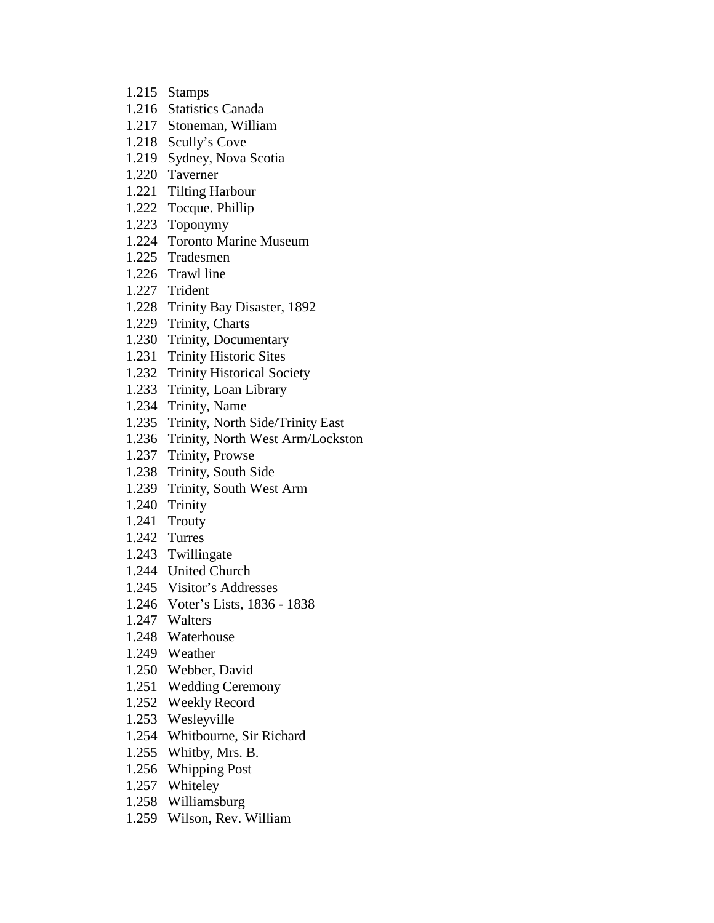- 1.215 Stamps
- 1.216 Statistics Canada
- 1.217 Stoneman, William
- 1.218 Scully's Cove
- 1.219 Sydney, Nova Scotia
- 1.220 Taverner
- 1.221 Tilting Harbour
- 1.222 Tocque. Phillip
- 1.223 Toponymy
- 1.224 Toronto Marine Museum
- 1.225 Tradesmen
- 1.226 Trawl line
- 1.227 Trident
- 1.228 Trinity Bay Disaster, 1892
- 1.229 Trinity, Charts
- 1.230 Trinity, Documentary
- 1.231 Trinity Historic Sites
- 1.232 Trinity Historical Society
- 1.233 Trinity, Loan Library
- 1.234 Trinity, Name
- 1.235 Trinity, North Side/Trinity East
- 1.236 Trinity, North West Arm/Lockston
- 1.237 Trinity, Prowse
- 1.238 Trinity, South Side
- 1.239 Trinity, South West Arm
- 1.240 Trinity
- 1.241 Trouty
- 1.242 Turres
- 1.243 Twillingate
- 1.244 United Church
- 1.245 Visitor's Addresses
- 1.246 Voter's Lists, 1836 1838
- 1.247 Walters
- 1.248 Waterhouse
- 1.249 Weather
- 1.250 Webber, David
- 1.251 Wedding Ceremony
- 1.252 Weekly Record
- 1.253 Wesleyville
- 1.254 Whitbourne, Sir Richard
- 1.255 Whitby, Mrs. B.
- 1.256 Whipping Post
- 1.257 Whiteley
- 1.258 Williamsburg
- 1.259 Wilson, Rev. William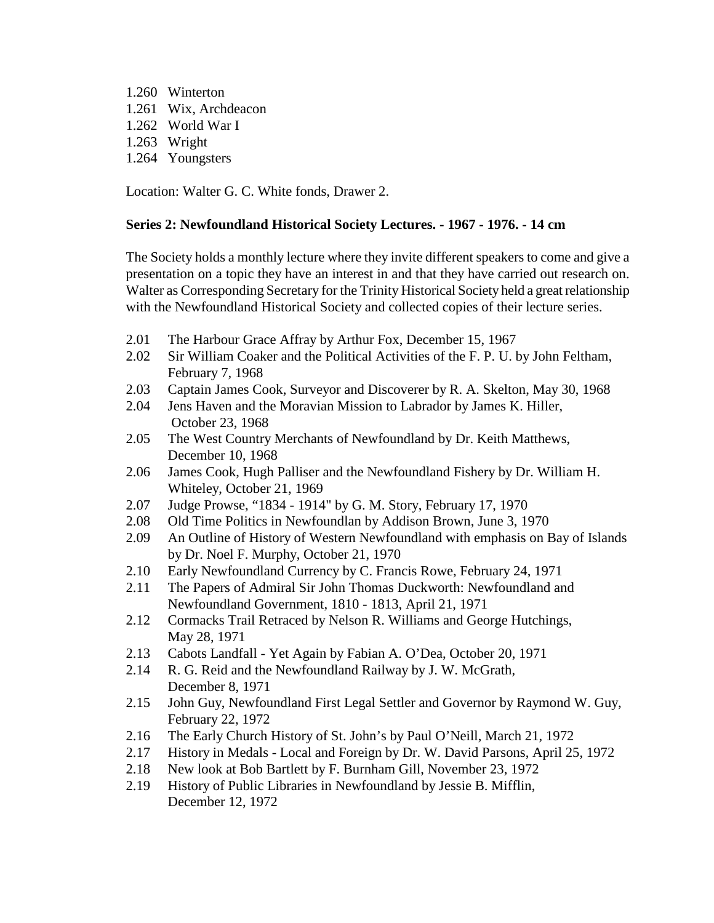1.260 Winterton 1.261 Wix, Archdeacon 1.262 World War I 1.263 Wright 1.264 Youngsters

Location: Walter G. C. White fonds, Drawer 2.

## **Series 2: Newfoundland Historical Society Lectures. - 1967 - 1976. - 14 cm**

The Society holds a monthly lecture where they invite different speakers to come and give a presentation on a topic they have an interest in and that they have carried out research on. Walter as Corresponding Secretary for the Trinity Historical Society held a great relationship with the Newfoundland Historical Society and collected copies of their lecture series.

- 2.01 The Harbour Grace Affray by Arthur Fox, December 15, 1967
- 2.02 Sir William Coaker and the Political Activities of the F. P. U. by John Feltham, February 7, 1968
- 2.03 Captain James Cook, Surveyor and Discoverer by R. A. Skelton, May 30, 1968
- 2.04 Jens Haven and the Moravian Mission to Labrador by James K. Hiller, October 23, 1968
- 2.05 The West Country Merchants of Newfoundland by Dr. Keith Matthews, December 10, 1968
- 2.06 James Cook, Hugh Palliser and the Newfoundland Fishery by Dr. William H. Whiteley, October 21, 1969
- 2.07 Judge Prowse, "1834 1914" by G. M. Story, February 17, 1970
- 2.08 Old Time Politics in Newfoundlan by Addison Brown, June 3, 1970
- 2.09 An Outline of History of Western Newfoundland with emphasis on Bay of Islands by Dr. Noel F. Murphy, October 21, 1970
- 2.10 Early Newfoundland Currency by C. Francis Rowe, February 24, 1971
- 2.11 The Papers of Admiral Sir John Thomas Duckworth: Newfoundland and Newfoundland Government, 1810 - 1813, April 21, 1971
- 2.12 Cormacks Trail Retraced by Nelson R. Williams and George Hutchings, May 28, 1971
- 2.13 Cabots Landfall Yet Again by Fabian A. O'Dea, October 20, 1971
- 2.14 R. G. Reid and the Newfoundland Railway by J. W. McGrath, December 8, 1971
- 2.15 John Guy, Newfoundland First Legal Settler and Governor by Raymond W. Guy, February 22, 1972
- 2.16 The Early Church History of St. John's by Paul O'Neill, March 21, 1972
- 2.17 History in Medals Local and Foreign by Dr. W. David Parsons, April 25, 1972
- 2.18 New look at Bob Bartlett by F. Burnham Gill, November 23, 1972
- 2.19 History of Public Libraries in Newfoundland by Jessie B. Mifflin, December 12, 1972